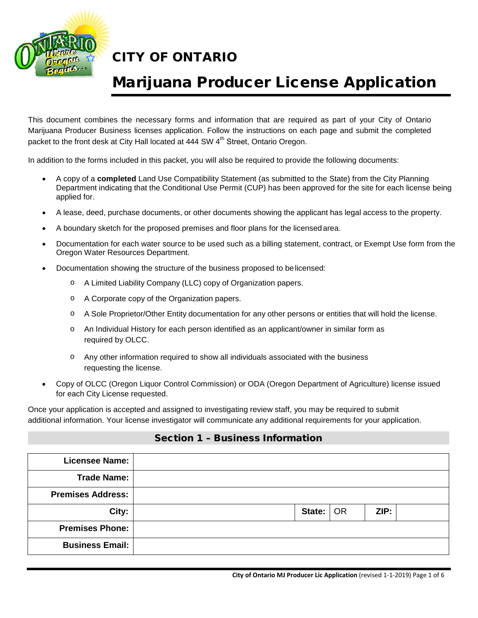

# Marijuana Producer License Application

This document combines the necessary forms and information that are required as part of your City of Ontario Marijuana Producer Business licenses application. Follow the instructions on each page and submit the completed packet to the front desk at City Hall located at 444 SW 4<sup>th</sup> Street, Ontario Oregon.

In addition to the forms included in this packet, you will also be required to provide the following documents:

- A copy of a **completed** Land Use Compatibility Statement (as submitted to the State) from the City Planning Department indicating that the Conditional Use Permit (CUP) has been approved for the site for each license being applied for.
- A lease, deed, purchase documents, or other documents showing the applicant has legal access to the property.
- A boundary sketch for the proposed premises and floor plans for the licensedarea.
- Documentation for each water source to be used such as a billing statement, contract, or Exempt Use form from the Oregon Water Resources Department.
- Documentation showing the structure of the business proposed to belicensed:
	- o A Limited Liability Company (LLC) copy of Organization papers.
	- o A Corporate copy of the Organization papers.
	- o A Sole Proprietor/Other Entity documentation for any other persons or entities that will hold the license.
	- o An Individual History for each person identified as an applicant/owner in similar form as required by OLCC.
	- o Any other information required to show all individuals associated with the business requesting the license.
- Copy of OLCC (Oregon Liquor Control Commission) or ODA (Oregon Department of Agriculture) license issued for each City License requested.

Once your application is accepted and assigned to investigating review staff, you may be required to submit additional information. Your license investigator will communicate any additional requirements for your application.

### Section 1 – Business Information

| <b>Licensee Name:</b>    |                      |  |
|--------------------------|----------------------|--|
| <b>Trade Name:</b>       |                      |  |
| <b>Premises Address:</b> |                      |  |
| City:                    | State:<br>ZIP:<br>OR |  |
| <b>Premises Phone:</b>   |                      |  |
| <b>Business Email:</b>   |                      |  |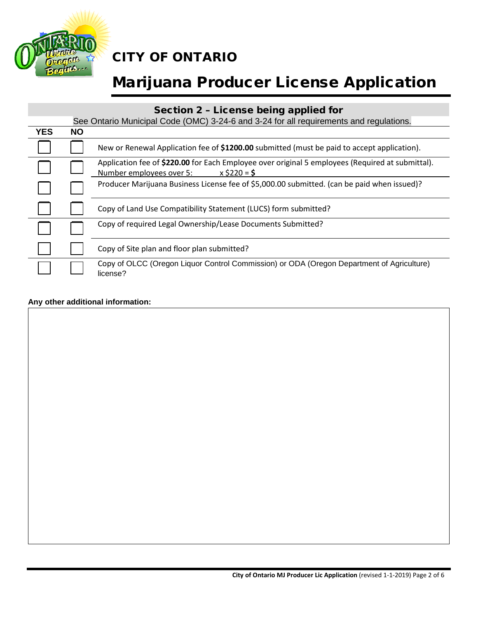

# Marijuana Producer License Application

### Section 2 – License being applied for

|            | See Ontario Municipal Code (OMC) 3-24-6 and 3-24 for all requirements and regulations. |                                                                                                                                                |  |  |  |
|------------|----------------------------------------------------------------------------------------|------------------------------------------------------------------------------------------------------------------------------------------------|--|--|--|
| <b>YES</b> | <b>NO</b>                                                                              |                                                                                                                                                |  |  |  |
|            |                                                                                        | New or Renewal Application fee of \$1200.00 submitted (must be paid to accept application).                                                    |  |  |  |
|            |                                                                                        | Application fee of \$220.00 for Each Employee over original 5 employees (Required at submittal).<br>$x$ \$220 = \$<br>Number employees over 5: |  |  |  |
|            |                                                                                        | Producer Marijuana Business License fee of \$5,000.00 submitted. (can be paid when issued)?                                                    |  |  |  |
|            |                                                                                        | Copy of Land Use Compatibility Statement (LUCS) form submitted?                                                                                |  |  |  |
|            |                                                                                        | Copy of required Legal Ownership/Lease Documents Submitted?                                                                                    |  |  |  |
|            |                                                                                        | Copy of Site plan and floor plan submitted?                                                                                                    |  |  |  |
|            |                                                                                        | Copy of OLCC (Oregon Liquor Control Commission) or ODA (Oregon Department of Agriculture)<br>license?                                          |  |  |  |

### **Any other additional information:**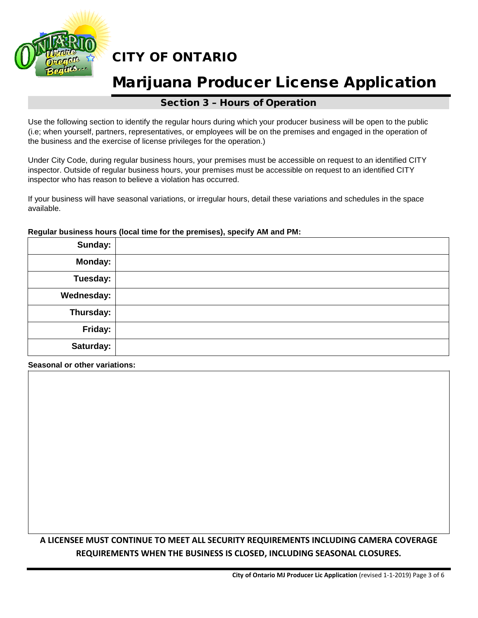

## Marijuana Producer License Application

### Section 3 – Hours of Operation

Use the following section to identify the regular hours during which your producer business will be open to the public (i.e; when yourself, partners, representatives, or employees will be on the premises and engaged in the operation of the business and the exercise of license privileges for the operation.)

Under City Code, during regular business hours, your premises must be accessible on request to an identified CITY inspector. Outside of regular business hours, your premises must be accessible on request to an identified CITY inspector who has reason to believe a violation has occurred.

If your business will have seasonal variations, or irregular hours, detail these variations and schedules in the space available.

## **Sunday: Monday: Tuesday: Wednesday: Thursday: Friday: Saturday:**

#### **Regular business hours (local time for the premises), specify AM and PM:**

**Seasonal or other variations:**

### **A LICENSEE MUST CONTINUE TO MEET ALL SECURITY REQUIREMENTS INCLUDING CAMERA COVERAGE REQUIREMENTS WHEN THE BUSINESS IS CLOSED, INCLUDING SEASONAL CLOSURES.**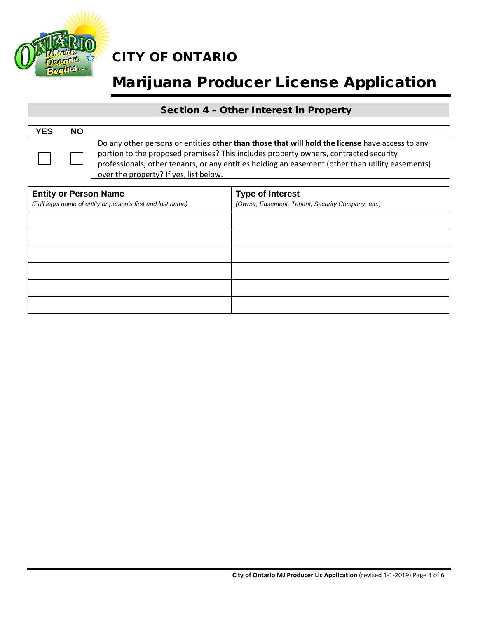

# Marijuana Producer License Application

### Section 4 – Other Interest in Property

| <b>YES</b> | <b>NO</b> |                                                                                                                                                                                                                                                                                                                                       |
|------------|-----------|---------------------------------------------------------------------------------------------------------------------------------------------------------------------------------------------------------------------------------------------------------------------------------------------------------------------------------------|
|            |           | Do any other persons or entities other than those that will hold the license have access to any<br>portion to the proposed premises? This includes property owners, contracted security<br>professionals, other tenants, or any entities holding an easement (other than utility easements)<br>over the property? If yes, list below. |

| <b>Entity or Person Name</b><br>(Full legal name of entity or person's first and last name) | <b>Type of Interest</b><br>(Owner, Easement, Tenant, Security Company, etc.) |  |  |
|---------------------------------------------------------------------------------------------|------------------------------------------------------------------------------|--|--|
|                                                                                             |                                                                              |  |  |
|                                                                                             |                                                                              |  |  |
|                                                                                             |                                                                              |  |  |
|                                                                                             |                                                                              |  |  |
|                                                                                             |                                                                              |  |  |
|                                                                                             |                                                                              |  |  |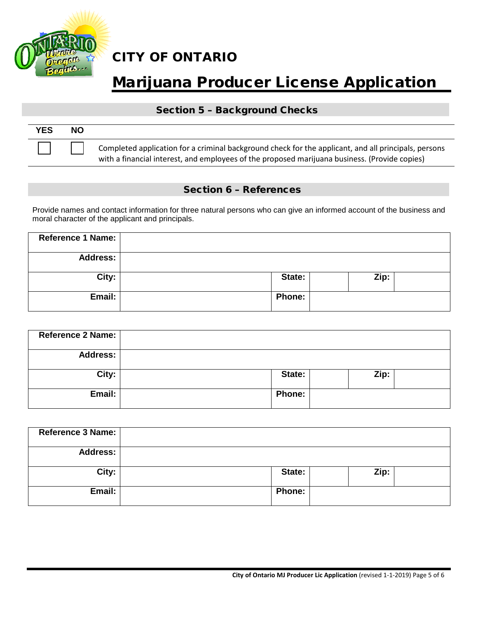

# Marijuana Producer License Application

### Section 5 – Background Checks

| <b>YES</b> | NΟ |                                                                                                                                                                                                       |
|------------|----|-------------------------------------------------------------------------------------------------------------------------------------------------------------------------------------------------------|
|            |    | Completed application for a criminal background check for the applicant, and all principals, persons<br>with a financial interest, and employees of the proposed marijuana business. (Provide copies) |

### Section 6 – References

Provide names and contact information for three natural persons who can give an informed account of the business and moral character of the applicant and principals.

| Reference 1 Name: |               |      |  |
|-------------------|---------------|------|--|
| <b>Address:</b>   |               |      |  |
| City:             | State:        | Zip: |  |
| Email:            | <b>Phone:</b> |      |  |

| Reference 2 Name: |               |      |  |
|-------------------|---------------|------|--|
| <b>Address:</b>   |               |      |  |
| City:             | State:        | Zip: |  |
| Email:            | <b>Phone:</b> |      |  |

| <b>Reference 3 Name:</b> |               |      |
|--------------------------|---------------|------|
| <b>Address:</b>          |               |      |
| City:                    | State:        | Zip: |
| Email:                   | <b>Phone:</b> |      |